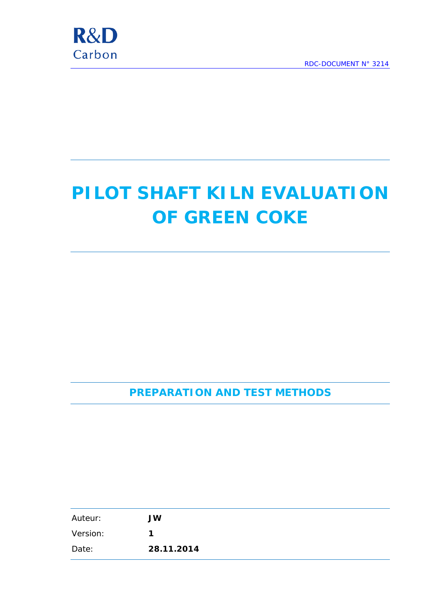

# **PILOT SHAFT KILN EVALUATION OF GREEN COKE**

**PREPARATION AND TEST METHODS**

| Auteur:  | <b>JW</b>  |
|----------|------------|
| Version: | 1          |
| Date:    | 28.11.2014 |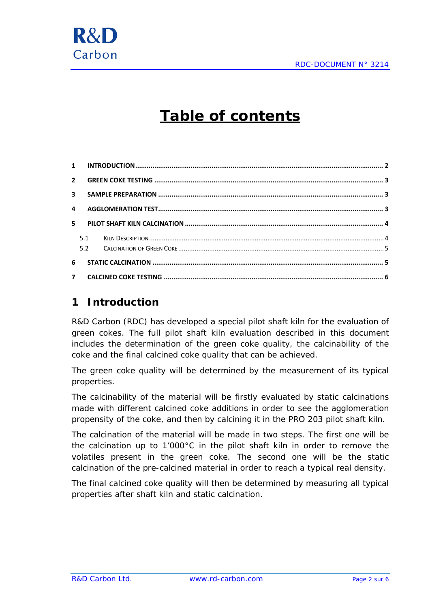

# **Table of contents**

| 5.1 |  |
|-----|--|
|     |  |
| 6   |  |
|     |  |

#### <span id="page-1-0"></span>**1 Introduction**

R&D Carbon (RDC) has developed a special pilot shaft kiln for the evaluation of green cokes. The full pilot shaft kiln evaluation described in this document includes the determination of the green coke quality, the calcinability of the coke and the final calcined coke quality that can be achieved.

The green coke quality will be determined by the measurement of its typical properties.

The calcinability of the material will be firstly evaluated by static calcinations made with different calcined coke additions in order to see the agglomeration propensity of the coke, and then by calcining it in the PRO 203 pilot shaft kiln.

The calcination of the material will be made in two steps. The first one will be the calcination up to 1'000°C in the pilot shaft kiln in order to remove the volatiles present in the green coke. The second one will be the static calcination of the pre-calcined material in order to reach a typical real density.

The final calcined coke quality will then be determined by measuring all typical properties after shaft kiln and static calcination.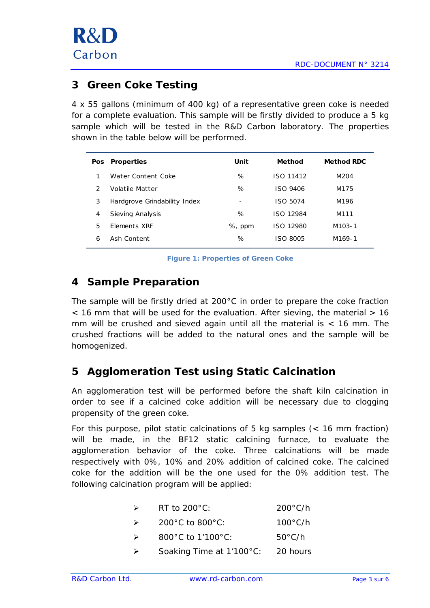

#### <span id="page-2-0"></span>**3 Green Coke Testing**

4 x 55 gallons (minimum of 400 kg) of a representative green coke is needed for a complete evaluation. This sample will be firstly divided to produce a 5 kg sample which will be tested in the R&D Carbon laboratory. The properties shown in the table below will be performed.

| <b>Pos</b>    | <b>Properties</b>            | Unit                     | <b>Method</b>    | <b>Method RDC</b>   |
|---------------|------------------------------|--------------------------|------------------|---------------------|
|               | Water Content Coke           | %                        | <b>ISO 11412</b> | M204                |
| $\mathcal{L}$ | Volatile Matter              | %                        | ISO 9406         | M175                |
| 3             | Hardgrove Grindability Index | $\overline{\phantom{a}}$ | ISO 5074         | M196                |
| 4             | Sieving Analysis             | %                        | ISO 12984        | M111                |
| 5             | <b>Flements XRF</b>          | %, ppm                   | ISO 12980        | M <sub>103</sub> -1 |
| 6             | Ash Content                  | %                        | ISO 8005         | M <sub>169-1</sub>  |
|               |                              |                          |                  |                     |

**Figure 1: Properties of Green Coke**

## <span id="page-2-1"></span>**4 Sample Preparation**

The sample will be firstly dried at 200°C in order to prepare the coke fraction  $\leq$  16 mm that will be used for the evaluation. After sieving, the material  $> 16$ mm will be crushed and sieved again until all the material is  $<$  16 mm. The crushed fractions will be added to the natural ones and the sample will be homogenized.

### <span id="page-2-2"></span>**5 Agglomeration Test using Static Calcination**

An agglomeration test will be performed before the shaft kiln calcination in order to see if a calcined coke addition will be necessary due to clogging propensity of the green coke.

For this purpose, pilot static calcinations of 5 kg samples (< 16 mm fraction) will be made, in the BF12 static calcining furnace, to evaluate the agglomeration behavior of the coke. Three calcinations will be made respectively with 0%, 10% and 20% addition of calcined coke. The calcined coke for the addition will be the one used for the 0% addition test. The following calcination program will be applied:

| RT to $200^{\circ}$ C: | $200^{\circ}$ C/h |
|------------------------|-------------------|
|                        |                   |

| $100^{\circ}$ C/h<br>$200^{\circ}$ C to $800^{\circ}$ C:<br>$\rightarrow$ |  |
|---------------------------------------------------------------------------|--|
|---------------------------------------------------------------------------|--|

- 800°C to 1'100°C: 50°C/h
- Soaking Time at 1'100°C: 20 hours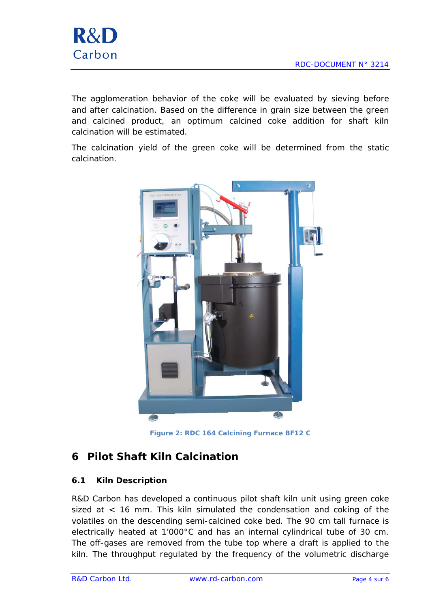

The agglomeration behavior of the coke will be evaluated by sieving before and after calcination. Based on the difference in grain size between the green and calcined product, an optimum calcined coke addition for shaft kiln calcination will be estimated.

The calcination yield of the green coke will be determined from the static calcination.



**Figure 2: RDC 164 Calcining Furnace BF12 C**

### <span id="page-3-0"></span>**6 Pilot Shaft Kiln Calcination**

#### <span id="page-3-1"></span>**6.1 Kiln Description**

R&D Carbon has developed a continuous pilot shaft kiln unit using green coke sized at < 16 mm. This kiln simulated the condensation and coking of the volatiles on the descending semi-calcined coke bed. The 90 cm tall furnace is electrically heated at 1'000°C and has an internal cylindrical tube of 30 cm. The off-gases are removed from the tube top where a draft is applied to the kiln. The throughput regulated by the frequency of the volumetric discharge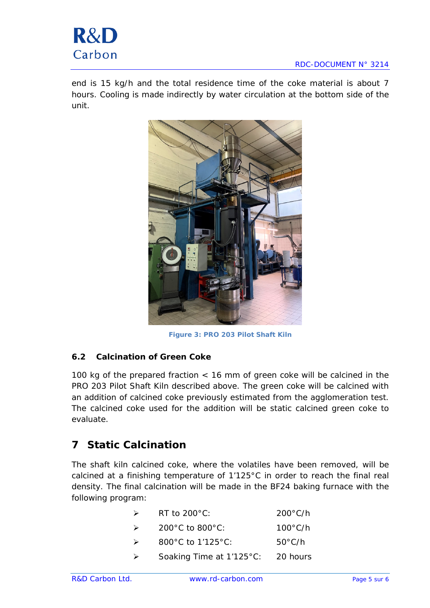end is 15 kg/h and the total residence time of the coke material is about 7 hours. Cooling is made indirectly by water circulation at the bottom side of the unit.



**Figure 3: PRO 203 Pilot Shaft Kiln**

#### <span id="page-4-0"></span>**6.2 Calcination of Green Coke**

100 kg of the prepared fraction < 16 mm of green coke will be calcined in the PRO 203 Pilot Shaft Kiln described above. The green coke will be calcined with an addition of calcined coke previously estimated from the agglomeration test. The calcined coke used for the addition will be static calcined green coke to evaluate.

### <span id="page-4-1"></span>**7 Static Calcination**

The shaft kiln calcined coke, where the volatiles have been removed, will be calcined at a finishing temperature of 1'125°C in order to reach the final real density. The final calcination will be made in the BF24 baking furnace with the following program:

| RT to $200^{\circ}$ C:   | $200^{\circ}$ C/h |
|--------------------------|-------------------|
| 200°C to 800°C:          | $100^{\circ}$ C/h |
| 800°C to 1'125°C:        | $50^{\circ}$ C/h  |
| Soaking Time at 1'125°C: | 20 hours          |
|                          |                   |